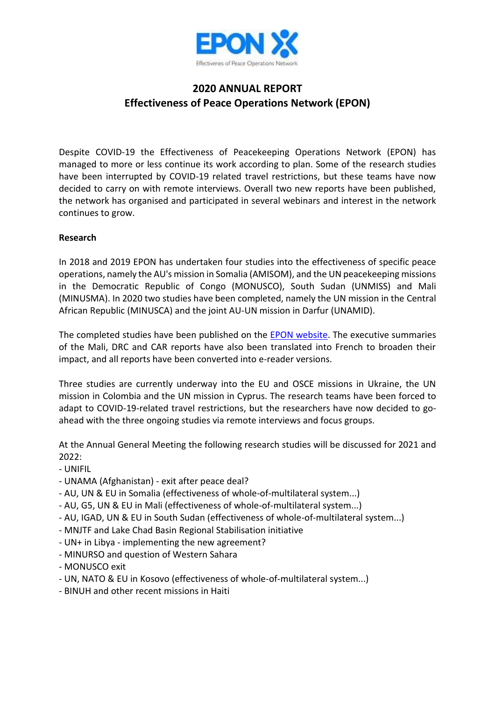

# **2020 ANNUAL REPORT Effectiveness of Peace Operations Network (EPON)**

Despite COVID-19 the Effectiveness of Peacekeeping Operations Network (EPON) has managed to more or less continue its work according to plan. Some of the research studies have been interrupted by COVID-19 related travel restrictions, but these teams have now decided to carry on with remote interviews. Overall two new reports have been published, the network has organised and participated in several webinars and interest in the network continues to grow.

## **Research**

In 2018 and 2019 EPON has undertaken four studies into the effectiveness of specific peace operations, namely the AU's mission in Somalia (AMISOM), and the UN peacekeeping missions in the Democratic Republic of Congo (MONUSCO), South Sudan (UNMISS) and Mali (MINUSMA). In 2020 two studies have been completed, namely the UN mission in the Central African Republic (MINUSCA) and the joint AU-UN mission in Darfur (UNAMID).

The completed studies have been published on the EPON website. The executive summaries of the Mali, DRC and CAR reports have also been translated into French to broaden their impact, and all reports have been converted into e-reader versions.

Three studies are currently underway into the EU and OSCE missions in Ukraine, the UN mission in Colombia and the UN mission in Cyprus. The research teams have been forced to adapt to COVID-19-related travel restrictions, but the researchers have now decided to goahead with the three ongoing studies via remote interviews and focus groups.

At the Annual General Meeting the following research studies will be discussed for 2021 and 2022:

- UNIFIL
- UNAMA (Afghanistan) exit after peace deal?
- AU, UN & EU in Somalia (effectiveness of whole-of-multilateral system...)
- AU, G5, UN & EU in Mali (effectiveness of whole-of-multilateral system...)
- AU, IGAD, UN & EU in South Sudan (effectiveness of whole-of-multilateral system...)
- MNJTF and Lake Chad Basin Regional Stabilisation initiative
- UN+ in Libya implementing the new agreement?
- MINURSO and question of Western Sahara
- MONUSCO exit
- UN, NATO & EU in Kosovo (effectiveness of whole-of-multilateral system...)
- BINUH and other recent missions in Haiti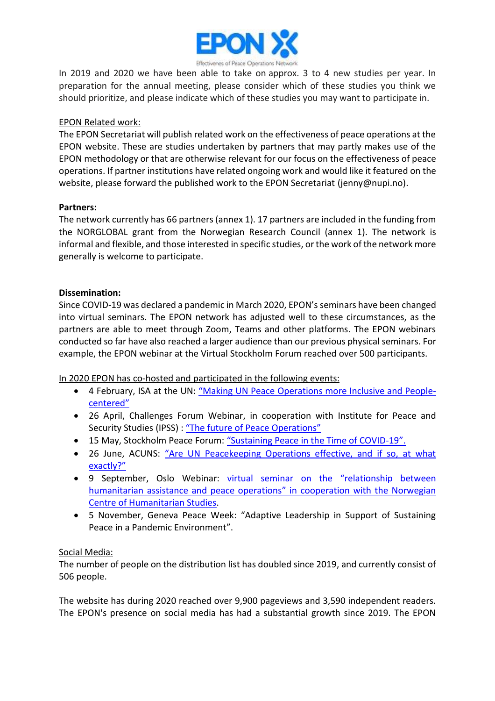

In 2019 and 2020 we have been able to take on approx. 3 to 4 new studies per year. In preparation for the annual meeting, please consider which of these studies you think we should prioritize, and please indicate which of these studies you may want to participate in.

## EPON Related work:

The EPON Secretariat will publish related work on the effectiveness of peace operations at the EPON website. These are studies undertaken by partners that may partly makes use of the EPON methodology or that are otherwise relevant for our focus on the effectiveness of peace operations. If partner institutions have related ongoing work and would like it featured on the website, please forward the published work to the EPON Secretariat (jenny@nupi.no).

### **Partners:**

The network currently has 66 partners (annex 1). 17 partners are included in the funding from the NORGLOBAL grant from the Norwegian Research Council (annex 1). The network is informal and flexible, and those interested in specific studies, or the work of the network more generally is welcome to participate.

## **Dissemination:**

Since COVID-19 was declared a pandemic in March 2020, EPON's seminars have been changed into virtual seminars. The EPON network has adjusted well to these circumstances, as the partners are able to meet through Zoom, Teams and other platforms. The EPON webinars conducted so far have also reached a larger audience than our previous physical seminars. For example, the EPON webinar at the Virtual Stockholm Forum reached over 500 participants.

In 2020 EPON has co-hosted and participated in the following events:

- 4 February, ISA at the UN: "Making UN Peace Operations more Inclusive and Peoplecentered"
- 26 April, Challenges Forum Webinar, in cooperation with Institute for Peace and Security Studies (IPSS) : "The future of Peace Operations"
- 15 May, Stockholm Peace Forum: "Sustaining Peace in the Time of COVID-19".
- 26 June, ACUNS: "Are UN Peacekeeping Operations effective, and if so, at what exactly?"
- 9 September, Oslo Webinar: virtual seminar on the "relationship between humanitarian assistance and peace operations" in cooperation with the Norwegian Centre of Humanitarian Studies.
- 5 November, Geneva Peace Week: "Adaptive Leadership in Support of Sustaining Peace in a Pandemic Environment".

## Social Media:

The number of people on the distribution list has doubled since 2019, and currently consist of 506 people.

The website has during 2020 reached over 9,900 pageviews and 3,590 independent readers. The EPON's presence on social media has had a substantial growth since 2019. The EPON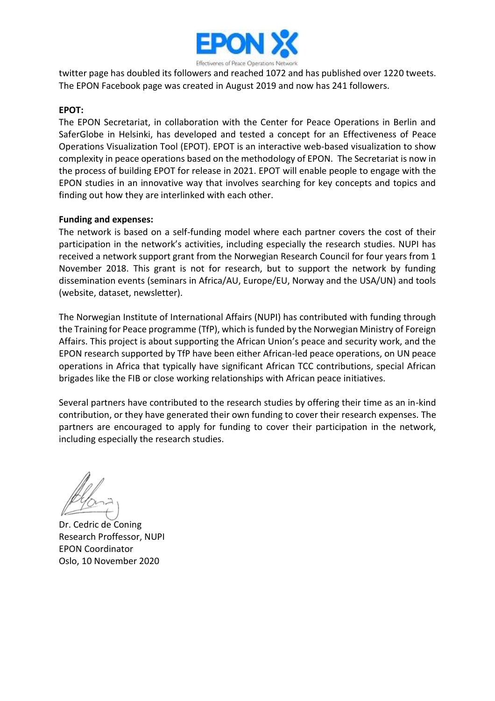

twitter page has doubled its followers and reached 1072 and has published over 1220 tweets. The EPON Facebook page was created in August 2019 and now has 241 followers.

## **EPOT:**

The EPON Secretariat, in collaboration with the Center for Peace Operations in Berlin and SaferGlobe in Helsinki, has developed and tested a concept for an Effectiveness of Peace Operations Visualization Tool (EPOT). EPOT is an interactive web-based visualization to show complexity in peace operations based on the methodology of EPON. The Secretariat is now in the process of building EPOT for release in 2021. EPOT will enable people to engage with the EPON studies in an innovative way that involves searching for key concepts and topics and finding out how they are interlinked with each other.

### **Funding and expenses:**

The network is based on a self-funding model where each partner covers the cost of their participation in the network's activities, including especially the research studies. NUPI has received a network support grant from the Norwegian Research Council for four years from 1 November 2018. This grant is not for research, but to support the network by funding dissemination events (seminars in Africa/AU, Europe/EU, Norway and the USA/UN) and tools (website, dataset, newsletter).

The Norwegian Institute of International Affairs (NUPI) has contributed with funding through the Training for Peace programme (TfP), which is funded by the Norwegian Ministry of Foreign Affairs. This project is about supporting the African Union's peace and security work, and the EPON research supported by TfP have been either African-led peace operations, on UN peace operations in Africa that typically have significant African TCC contributions, special African brigades like the FIB or close working relationships with African peace initiatives.

Several partners have contributed to the research studies by offering their time as an in-kind contribution, or they have generated their own funding to cover their research expenses. The partners are encouraged to apply for funding to cover their participation in the network, including especially the research studies.

Dr. Cedric de Coning Research Proffessor, NUPI EPON Coordinator Oslo, 10 November 2020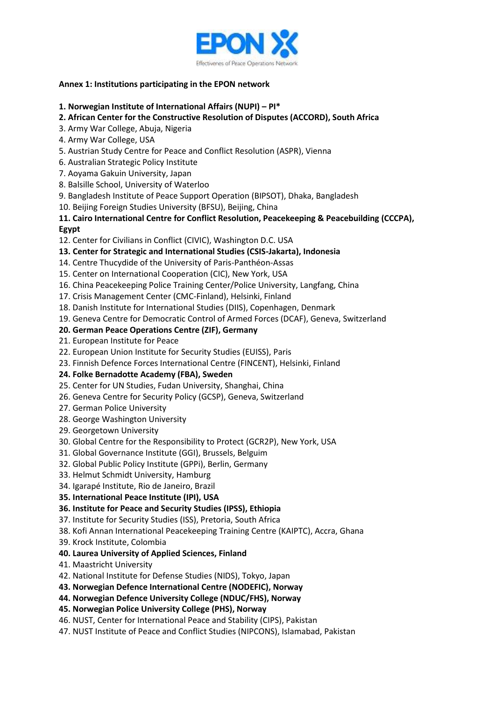

#### **Annex 1: Institutions participating in the EPON network**

#### **1. Norwegian Institute of International Affairs (NUPI) – PI\***

## **2. African Center for the Constructive Resolution of Disputes (ACCORD), South Africa**

- 3. Army War College, Abuja, Nigeria
- 4. Army War College, USA
- 5. Austrian Study Centre for Peace and Conflict Resolution (ASPR), Vienna
- 6. Australian Strategic Policy Institute
- 7. Aoyama Gakuin University, Japan
- 8. Balsille School, University of Waterloo
- 9. Bangladesh Institute of Peace Support Operation (BIPSOT), Dhaka, Bangladesh
- 10. Beijing Foreign Studies University (BFSU), Beijing, China

## **11. Cairo International Centre for Conflict Resolution, Peacekeeping & Peacebuilding (CCCPA), Egypt**

- 12. Center for Civilians in Conflict (CIVIC), Washington D.C. USA
- **13. Center for Strategic and International Studies (CSIS-Jakarta), Indonesia**
- 14. Centre Thucydide of the University of Paris-Panthéon-Assas
- 15. Center on International Cooperation (CIC), New York, USA
- 16. China Peacekeeping Police Training Center/Police University, Langfang, China
- 17. Crisis Management Center (CMC-Finland), Helsinki, Finland
- 18. Danish Institute for International Studies (DIIS), Copenhagen, Denmark
- 19. Geneva Centre for Democratic Control of Armed Forces (DCAF), Geneva, Switzerland

#### **20. German Peace Operations Centre (ZIF), Germany**

- 21. European Institute for Peace
- 22. European Union Institute for Security Studies (EUISS), Paris
- 23. Finnish Defence Forces International Centre (FINCENT), Helsinki, Finland

#### **24. Folke Bernadotte Academy (FBA), Sweden**

- 25. Center for UN Studies, Fudan University, Shanghai, China
- 26. Geneva Centre for Security Policy (GCSP), Geneva, Switzerland
- 27. German Police University
- 28. George Washington University
- 29. Georgetown University
- 30. Global Centre for the Responsibility to Protect (GCR2P), New York, USA
- 31. Global Governance Institute (GGI), Brussels, Belguim
- 32. Global Public Policy Institute (GPPi), Berlin, Germany
- 33. Helmut Schmidt University, Hamburg
- 34. Igarapé Institute, Rio de Janeiro, Brazil
- **35. International Peace Institute (IPI), USA**

#### **36. Institute for Peace and Security Studies (IPSS), Ethiopia**

- 37. Institute for Security Studies (ISS), Pretoria, South Africa
- 38. Kofi Annan International Peacekeeping Training Centre (KAIPTC), Accra, Ghana
- 39. Krock Institute, Colombia

## **40. Laurea University of Applied Sciences, Finland**

- 41. Maastricht University
- 42. National Institute for Defense Studies (NIDS), Tokyo, Japan
- **43. Norwegian Defence International Centre (NODEFIC), Norway**
- **44. Norwegian Defence University College (NDUC/FHS), Norway**

#### **45. Norwegian Police University College (PHS), Norway**

- 46. NUST, Center for International Peace and Stability (CIPS), Pakistan
- 47. NUST Institute of Peace and Conflict Studies (NIPCONS), Islamabad, Pakistan